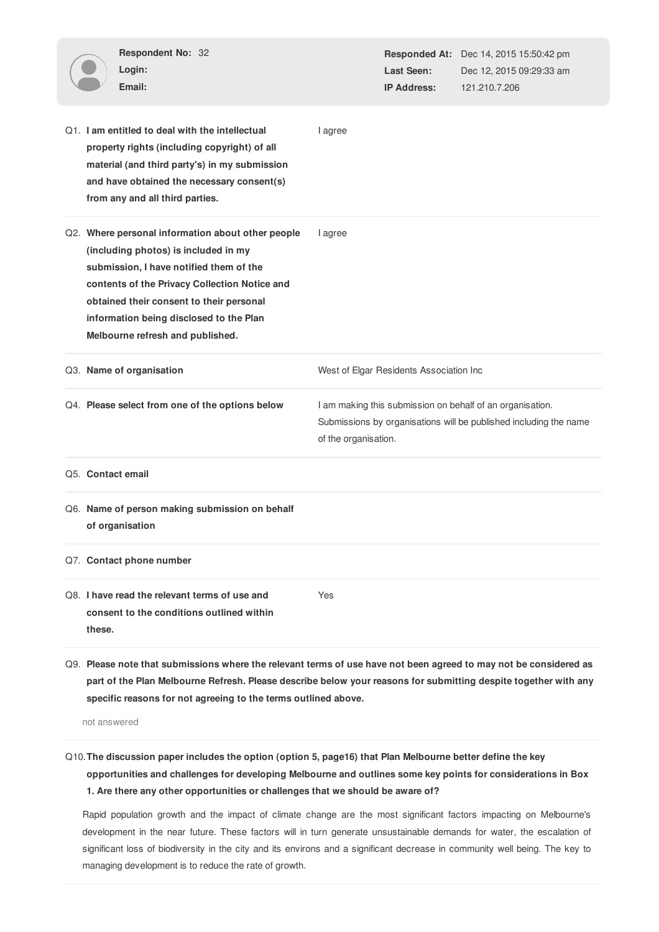| Respondent No: 32<br>Login:<br>Email:                                                                                                                                                                                                                                                                            |         | Last Seen:<br><b>IP Address:</b>                                                                                                                       | <b>Responded At:</b> Dec 14, 2015 15:50:42 pm<br>Dec 12, 2015 09:29:33 am<br>121.210.7.206 |  |  |
|------------------------------------------------------------------------------------------------------------------------------------------------------------------------------------------------------------------------------------------------------------------------------------------------------------------|---------|--------------------------------------------------------------------------------------------------------------------------------------------------------|--------------------------------------------------------------------------------------------|--|--|
| Q1. I am entitled to deal with the intellectual<br>property rights (including copyright) of all<br>material (and third party's) in my submission<br>and have obtained the necessary consent(s)<br>from any and all third parties.                                                                                | I agree |                                                                                                                                                        |                                                                                            |  |  |
| Q2. Where personal information about other people<br>(including photos) is included in my<br>submission, I have notified them of the<br>contents of the Privacy Collection Notice and<br>obtained their consent to their personal<br>information being disclosed to the Plan<br>Melbourne refresh and published. | I agree |                                                                                                                                                        |                                                                                            |  |  |
| Q3. Name of organisation                                                                                                                                                                                                                                                                                         |         | West of Elgar Residents Association Inc                                                                                                                |                                                                                            |  |  |
| Q4. Please select from one of the options below                                                                                                                                                                                                                                                                  |         | I am making this submission on behalf of an organisation.<br>Submissions by organisations will be published including the name<br>of the organisation. |                                                                                            |  |  |
| Q5. Contact email                                                                                                                                                                                                                                                                                                |         |                                                                                                                                                        |                                                                                            |  |  |
| Q6. Name of person making submission on behalf<br>of organisation                                                                                                                                                                                                                                                |         |                                                                                                                                                        |                                                                                            |  |  |
| Q7. Contact phone number                                                                                                                                                                                                                                                                                         |         |                                                                                                                                                        |                                                                                            |  |  |
| Q8. I have read the relevant terms of use and<br>consent to the conditions outlined within<br>these.                                                                                                                                                                                                             | Yes     |                                                                                                                                                        |                                                                                            |  |  |
| Q9. Please note that submissions where the relevant terms of use have not been agreed to may not be considered as<br>part of the Plan Melbourne Refresh. Please describe below your reasons for submitting despite together with any                                                                             |         |                                                                                                                                                        |                                                                                            |  |  |

not answered

# Q10.**The discussion paper includes the option (option 5, page16) that Plan Melbourne better define the key**

**specific reasons for not agreeing to the terms outlined above.**

**opportunities and challenges for developing Melbourne and outlines some key points for considerations in Box 1. Are there any other opportunities or challenges that we should be aware of?**

Rapid population growth and the impact of climate change are the most significant factors impacting on Melbourne's development in the near future. These factors will in turn generate unsustainable demands for water, the escalation of significant loss of biodiversity in the city and its environs and a significant decrease in community well being. The key to managing development is to reduce the rate of growth.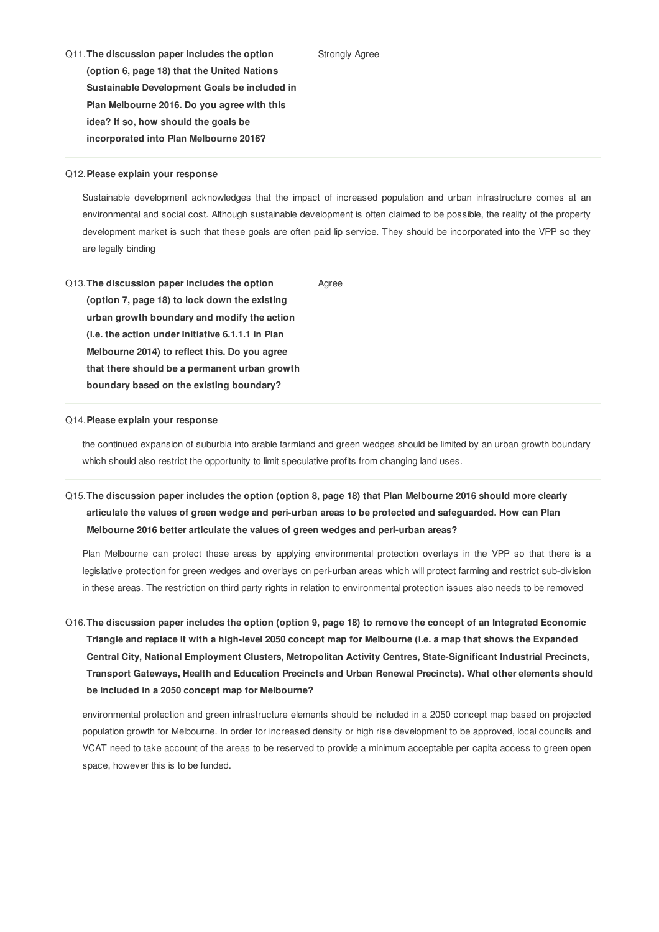Q11.**The discussion paper includes the option (option 6, page 18) that the United Nations Sustainable Development Goals be included in Plan Melbourne 2016. Do you agree with this idea? If so, how should the goals be incorporated into Plan Melbourne 2016?**

#### Q12.**Please explain your response**

Sustainable development acknowledges that the impact of increased population and urban infrastructure comes at an environmental and social cost. Although sustainable development is often claimed to be possible, the reality of the property development market is such that these goals are often paid lip service. They should be incorporated into the VPP so they are legally binding

Strongly Agree

Q13.**The discussion paper includes the option (option 7, page 18) to lock down the existing urban growth boundary and modify the action (i.e. the action under Initiative 6.1.1.1 in Plan Melbourne 2014) to reflect this. Do you agree that there should be a permanent urban growth boundary based on the existing boundary?** Agree

### Q14.**Please explain your response**

the continued expansion of suburbia into arable farmland and green wedges should be limited by an urban growth boundary which should also restrict the opportunity to limit speculative profits from changing land uses.

# Q15. The discussion paper includes the option (option 8, page 18) that Plan Melbourne 2016 should more clearly **articulate the values of green wedge and peri-urban areas to be protected and safeguarded. How can Plan Melbourne 2016 better articulate the values of green wedges and peri-urban areas?**

Plan Melbourne can protect these areas by applying environmental protection overlays in the VPP so that there is a legislative protection for green wedges and overlays on peri-urban areas which will protect farming and restrict sub-division in these areas. The restriction on third party rights in relation to environmental protection issues also needs to be removed

# Q16. The discussion paper includes the option (option 9, page 18) to remove the concept of an Integrated Economic Triangle and replace it with a high-level 2050 concept map for Melbourne (i.e. a map that shows the Expanded **Central City, National Employment Clusters, Metropolitan Activity Centres, State-Significant Industrial Precincts, Transport Gateways, Health and Education Precincts and Urban Renewal Precincts). What other elements should be included in a 2050 concept map for Melbourne?**

environmental protection and green infrastructure elements should be included in a 2050 concept map based on projected population growth for Melbourne. In order for increased density or high rise development to be approved, local councils and VCAT need to take account of the areas to be reserved to provide a minimum acceptable per capita access to green open space, however this is to be funded.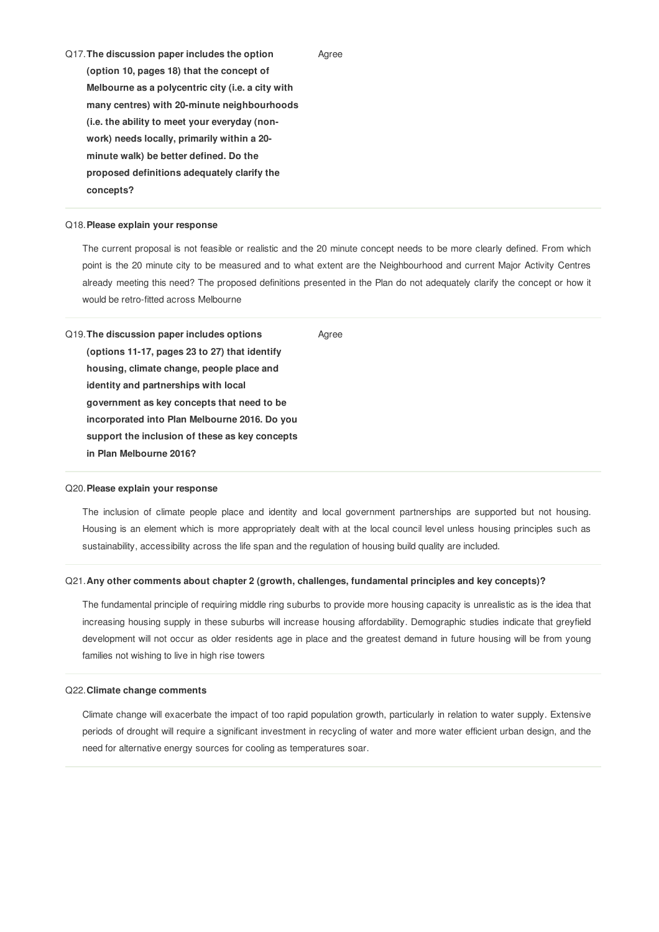Q17.**The discussion paper includes the option (option 10, pages 18) that the concept of Melbourne as a polycentric city (i.e. a city with many centres) with 20-minute neighbourhoods (i.e. the ability to meet your everyday (nonwork) needs locally, primarily within a 20 minute walk) be better defined. Do the proposed definitions adequately clarify the concepts?**

# Q18.**Please explain your response**

The current proposal is not feasible or realistic and the 20 minute concept needs to be more clearly defined. From which point is the 20 minute city to be measured and to what extent are the Neighbourhood and current Major Activity Centres already meeting this need? The proposed definitions presented in the Plan do not adequately clarify the concept or how it would be retro-fitted across Melbourne

Agree

Q19.**The discussion paper includes options (options 11-17, pages 23 to 27) that identify housing, climate change, people place and identity and partnerships with local government as key concepts that need to be incorporated into Plan Melbourne 2016. Do you support the inclusion of these as key concepts in Plan Melbourne 2016?** Agree

#### Q20.**Please explain your response**

The inclusion of climate people place and identity and local government partnerships are supported but not housing. Housing is an element which is more appropriately dealt with at the local council level unless housing principles such as sustainability, accessibility across the life span and the regulation of housing build quality are included.

### Q21.**Any other comments about chapter 2 (growth, challenges, fundamental principles and key concepts)?**

The fundamental principle of requiring middle ring suburbs to provide more housing capacity is unrealistic as is the idea that increasing housing supply in these suburbs will increase housing affordability. Demographic studies indicate that greyfield development will not occur as older residents age in place and the greatest demand in future housing will be from young families not wishing to live in high rise towers

## Q22.**Climate change comments**

Climate change will exacerbate the impact of too rapid population growth, particularly in relation to water supply. Extensive periods of drought will require a significant investment in recycling of water and more water efficient urban design, and the need for alternative energy sources for cooling as temperatures soar.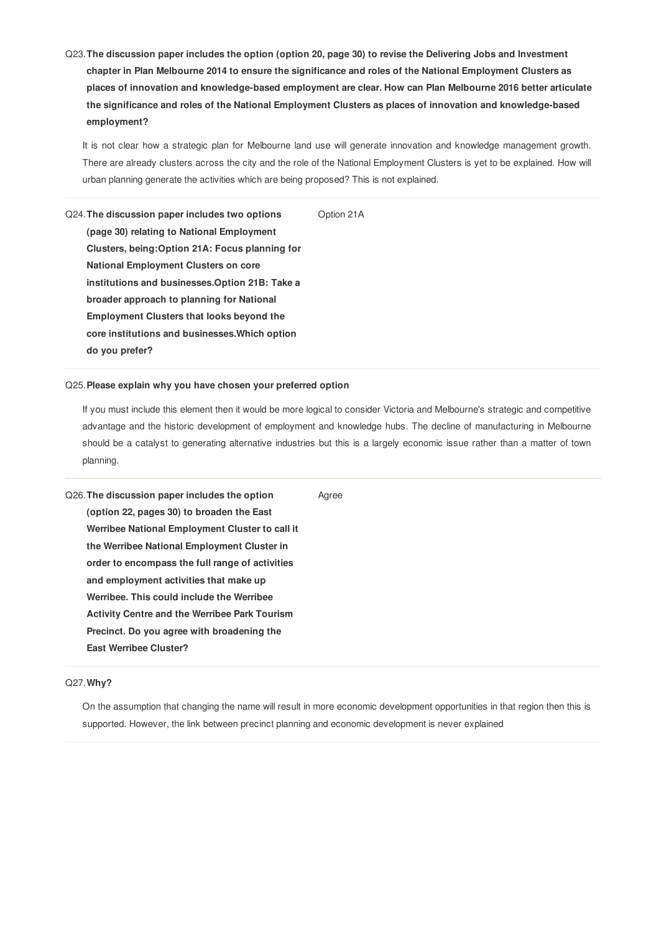Q23. The discussion paper includes the option (option 20, page 30) to revise the Delivering Jobs and Investment chapter in Plan Melbourne 2014 to ensure the significance and roles of the National Employment Clusters as **places of innovation and knowledge-based employment are clear. How can Plan Melbourne 2016 better articulate the significance and roles of the National Employment Clusters as places of innovation and knowledge-based employment?**

It is not clear how a strategic plan for Melbourne land use will generate innovation and knowledge management growth. There are already clusters across the city and the role of the National Employment Clusters is yet to be explained. How will urban planning generate the activities which are being proposed? This is not explained.

Option 21A

Q24.**The discussion paper includes two options (page 30) relating to National Employment Clusters, being:Option 21A: Focus planning for National Employment Clusters on core institutions and businesses.Option 21B: Take a broader approach to planning for National Employment Clusters that looks beyond the core institutions and businesses.Which option do you prefer?**

# Q25.**Please explain why you have chosen your preferred option**

If you must include this element then it would be more logical to consider Victoria and Melbourne's strategic and competitive advantage and the historic development of employment and knowledge hubs. The decline of manufacturing in Melbourne should be a catalyst to generating alternative industries but this is a largely economic issue rather than a matter of town planning.

| Q26. The discussion paper includes the option        | Agree |
|------------------------------------------------------|-------|
| (option 22, pages 30) to broaden the East            |       |
| Werribee National Employment Cluster to call it      |       |
| the Werribee National Employment Cluster in          |       |
| order to encompass the full range of activities      |       |
| and employment activities that make up               |       |
| Werribee. This could include the Werribee            |       |
| <b>Activity Centre and the Werribee Park Tourism</b> |       |
| Precinct. Do you agree with broadening the           |       |
| <b>East Werribee Cluster?</b>                        |       |

# Q27.**Why?**

On the assumption that changing the name will result in more economic development opportunities in that region then this is supported. However, the link between precinct planning and economic development is never explained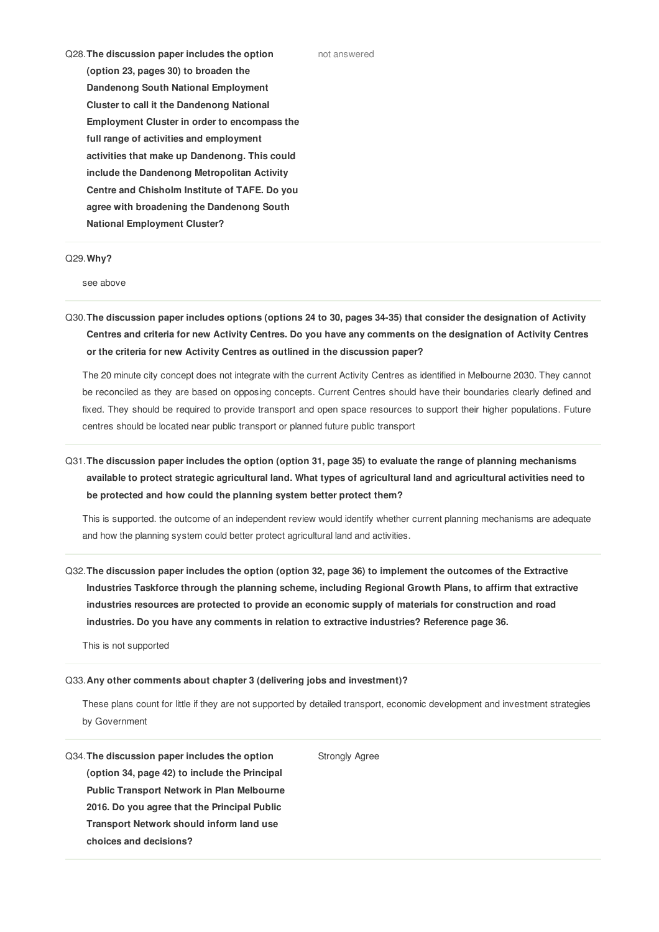Q28.**The discussion paper includes the option (option 23, pages 30) to broaden the Dandenong South National Employment Cluster to call it the Dandenong National Employment Cluster in order to encompass the full range of activities and employment activities that make up Dandenong. This could include the Dandenong Metropolitan Activity Centre and Chisholm Institute of TAFE. Do you agree with broadening the Dandenong South National Employment Cluster?**

### Q29.**Why?**

see above

Q30. The discussion paper includes options (options 24 to 30, pages 34-35) that consider the designation of Activity Centres and criteria for new Activity Centres. Do you have any comments on the designation of Activity Centres **or the criteria for new Activity Centres as outlined in the discussion paper?**

The 20 minute city concept does not integrate with the current Activity Centres as identified in Melbourne 2030. They cannot be reconciled as they are based on opposing concepts. Current Centres should have their boundaries clearly defined and fixed. They should be required to provide transport and open space resources to support their higher populations. Future centres should be located near public transport or planned future public transport

Q31. The discussion paper includes the option (option 31, page 35) to evaluate the range of planning mechanisms available to protect strategic agricultural land. What types of agricultural land and agricultural activities need to **be protected and how could the planning system better protect them?**

This is supported. the outcome of an independent review would identify whether current planning mechanisms are adequate and how the planning system could better protect agricultural land and activities.

Q32. The discussion paper includes the option (option 32, page 36) to implement the outcomes of the Extractive **Industries Taskforce through the planning scheme, including Regional Growth Plans, to affirm that extractive industries resources are protected to provide an economic supply of materials for construction and road industries. Do you have any comments in relation to extractive industries? Reference page 36.**

This is not supported

### Q33.**Any other comments about chapter 3 (delivering jobs and investment)?**

These plans count for little if they are not supported by detailed transport, economic development and investment strategies by Government

Strongly Agree

Q34.**The discussion paper includes the option (option 34, page 42) to include the Principal Public Transport Network in Plan Melbourne 2016. Do you agree that the Principal Public Transport Network should inform land use choices and decisions?**

not answered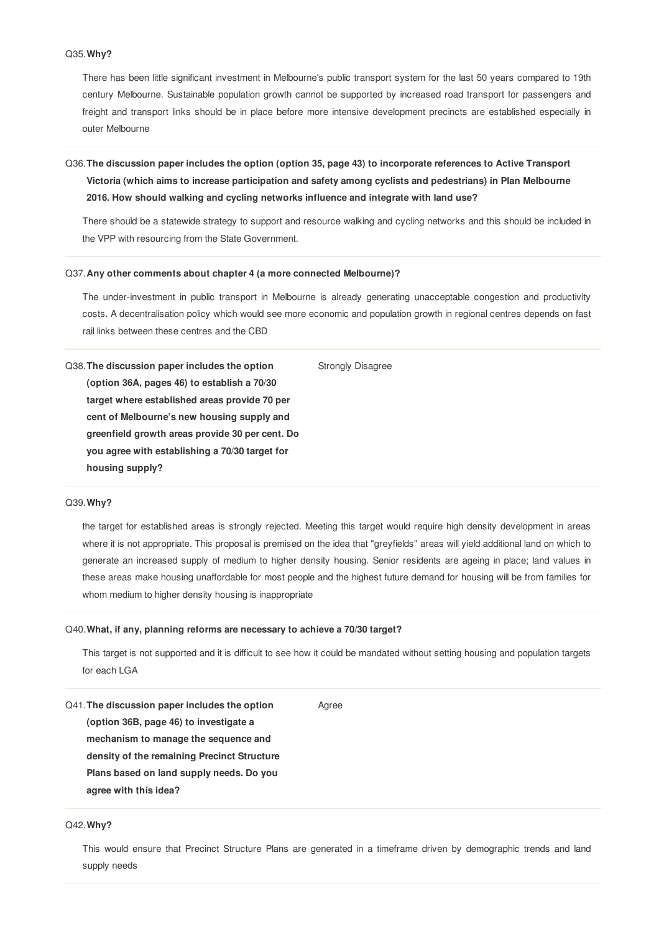# Q35.**Why?**

There has been little significant investment in Melbourne's public transport system for the last 50 years compared to 19th century Melbourne. Sustainable population growth cannot be supported by increased road transport for passengers and freight and transport links should be in place before more intensive development precincts are established especially in outer Melbourne

# Q36.**The discussion paper includes the option (option 35, page 43) to incorporate references to Active Transport Victoria (which aims to increase participation and safety among cyclists and pedestrians) in Plan Melbourne 2016. How should walking and cycling networks influence and integrate with land use?**

There should be a statewide strategy to support and resource walking and cycling networks and this should be included in the VPP with resourcing from the State Government.

### Q37.**Any other comments about chapter 4 (a more connected Melbourne)?**

The under-investment in public transport in Melbourne is already generating unacceptable congestion and productivity costs. A decentralisation policy which would see more economic and population growth in regional centres depends on fast rail links between these centres and the CBD

Q38.**The discussion paper includes the option (option 36A, pages 46) to establish a 70/30 target where established areas provide 70 per cent of Melbourne's new housing supply and greenfield growth areas provide 30 per cent. Do you agree with establishing a 70/30 target for housing supply?** Strongly Disagree

## Q39.**Why?**

the target for established areas is strongly rejected. Meeting this target would require high density development in areas where it is not appropriate. This proposal is premised on the idea that "greyfields" areas will yield additional land on which to generate an increased supply of medium to higher density housing. Senior residents are ageing in place; land values in these areas make housing unaffordable for most people and the highest future demand for housing will be from families for whom medium to higher density housing is inappropriate

### Q40.**What, if any, planning reforms are necessary to achieve a 70/30 target?**

This target is not supported and it is difficult to see how it could be mandated without setting housing and population targets for each LGA

Agree

Q41.**The discussion paper includes the option (option 36B, page 46) to investigate a mechanism to manage the sequence and density of the remaining Precinct Structure Plans based on land supply needs. Do you agree with this idea?**

### Q42.**Why?**

This would ensure that Precinct Structure Plans are generated in a timeframe driven by demographic trends and land supply needs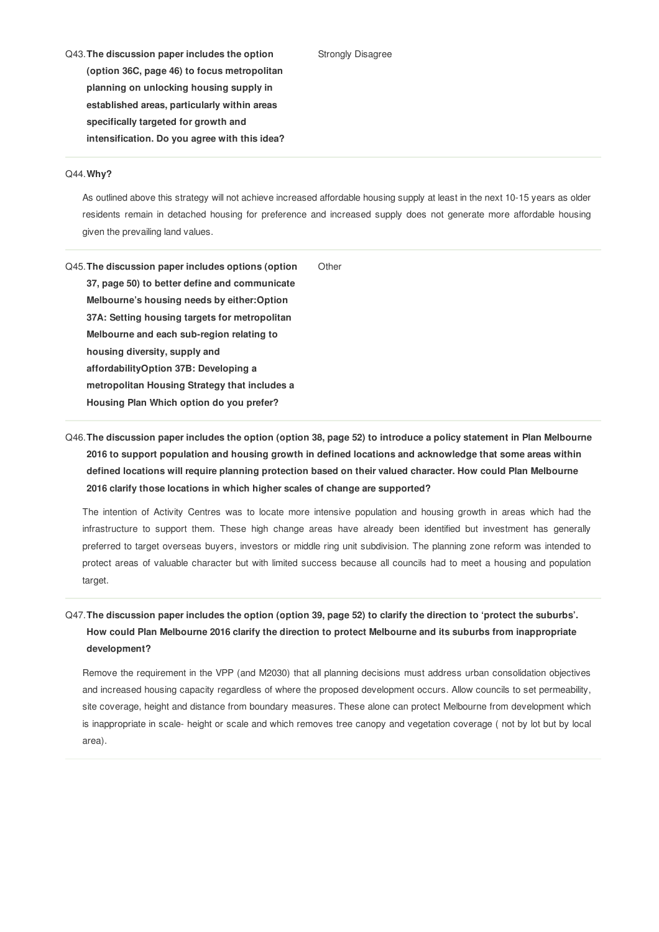#### Strongly Disagree

Q43.**The discussion paper includes the option (option 36C, page 46) to focus metropolitan planning on unlocking housing supply in established areas, particularly within areas specifically targeted for growth and intensification. Do you agree with this idea?**

#### Q44.**Why?**

As outlined above this strategy will not achieve increased affordable housing supply at least in the next 10-15 years as older residents remain in detached housing for preference and increased supply does not generate more affordable housing given the prevailing land values.

Q45.**The discussion paper includes options (option 37, page 50) to better define and communicate Melbourne's housing needs by either:Option 37A: Setting housing targets for metropolitan Melbourne and each sub-region relating to housing diversity, supply and affordabilityOption 37B: Developing a metropolitan Housing Strategy that includes a Housing Plan Which option do you prefer? Other** 

# Q46. The discussion paper includes the option (option 38, page 52) to introduce a policy statement in Plan Melbourne **2016 to support population and housing growth in defined locations and acknowledge that some areas within defined locations will require planning protection based on their valued character. How could Plan Melbourne 2016 clarify those locations in which higher scales of change are supported?**

The intention of Activity Centres was to locate more intensive population and housing growth in areas which had the infrastructure to support them. These high change areas have already been identified but investment has generally preferred to target overseas buyers, investors or middle ring unit subdivision. The planning zone reform was intended to protect areas of valuable character but with limited success because all councils had to meet a housing and population target.

# Q47. The discussion paper includes the option (option 39, page 52) to clarify the direction to 'protect the suburbs'. **How could Plan Melbourne 2016 clarify the direction to protect Melbourne and its suburbs from inappropriate development?**

Remove the requirement in the VPP (and M2030) that all planning decisions must address urban consolidation objectives and increased housing capacity regardless of where the proposed development occurs. Allow councils to set permeability, site coverage, height and distance from boundary measures. These alone can protect Melbourne from development which is inappropriate in scale- height or scale and which removes tree canopy and vegetation coverage ( not by lot but by local area).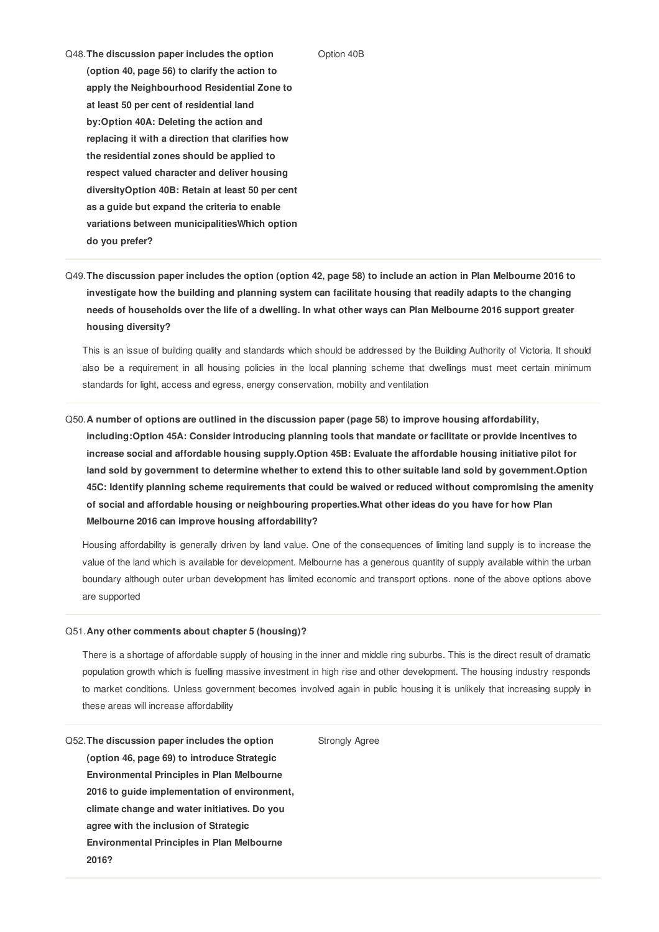#### Option 40B

Q48.**The discussion paper includes the option (option 40, page 56) to clarify the action to apply the Neighbourhood Residential Zone to at least 50 per cent of residential land by:Option 40A: Deleting the action and replacing it with a direction that clarifies how the residential zones should be applied to respect valued character and deliver housing diversityOption 40B: Retain at least 50 per cent as a guide but expand the criteria to enable variations between municipalitiesWhich option do you prefer?**

Q49. The discussion paper includes the option (option 42, page 58) to include an action in Plan Melbourne 2016 to **investigate how the building and planning system can facilitate housing that readily adapts to the changing** needs of households over the life of a dwelling. In what other ways can Plan Melbourne 2016 support greater **housing diversity?**

This is an issue of building quality and standards which should be addressed by the Building Authority of Victoria. It should also be a requirement in all housing policies in the local planning scheme that dwellings must meet certain minimum standards for light, access and egress, energy conservation, mobility and ventilation

# Q50.**A number of options are outlined in the discussion paper (page 58) to improve housing affordability, including:Option 45A: Consider introducing planning tools that mandate or facilitate or provide incentives to increase social and affordable housing supply.Option 45B: Evaluate the affordable housing initiative pilot for** land sold by government to determine whether to extend this to other suitable land sold by government. Option **45C: Identify planning scheme requirements that could be waived or reduced without compromising the amenity of social and affordable housing or neighbouring properties.What other ideas do you have for how Plan Melbourne 2016 can improve housing affordability?**

Housing affordability is generally driven by land value. One of the consequences of limiting land supply is to increase the value of the land which is available for development. Melbourne has a generous quantity of supply available within the urban boundary although outer urban development has limited economic and transport options. none of the above options above are supported

#### Q51.**Any other comments about chapter 5 (housing)?**

There is a shortage of affordable supply of housing in the inner and middle ring suburbs. This is the direct result of dramatic population growth which is fuelling massive investment in high rise and other development. The housing industry responds to market conditions. Unless government becomes involved again in public housing it is unlikely that increasing supply in these areas will increase affordability

Strongly Agree

Q52.**The discussion paper includes the option (option 46, page 69) to introduce Strategic Environmental Principles in Plan Melbourne 2016 to guide implementation of environment, climate change and water initiatives. Do you agree with the inclusion of Strategic Environmental Principles in Plan Melbourne 2016?**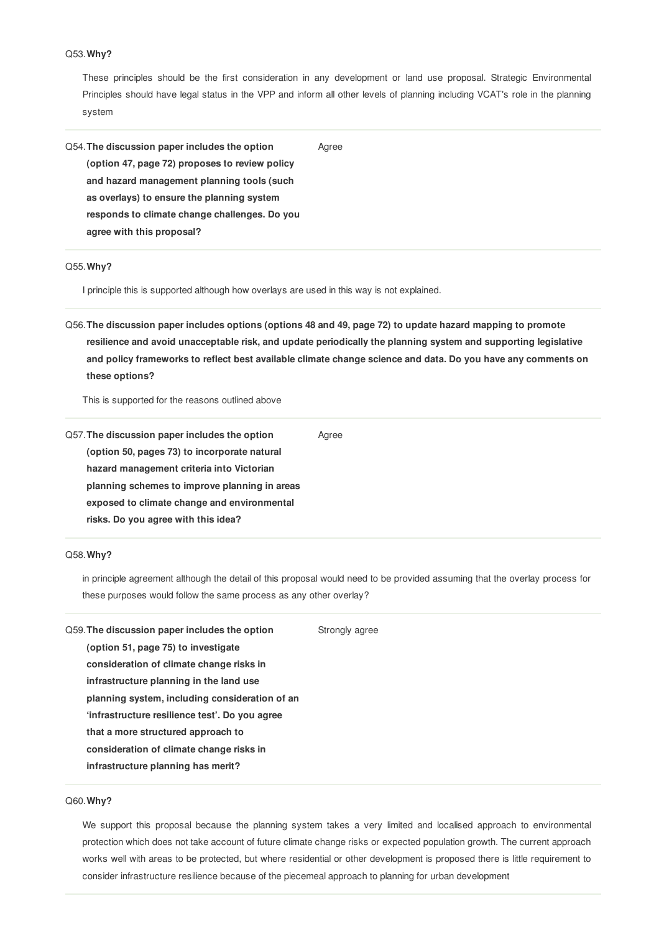# Q53.**Why?**

These principles should be the first consideration in any development or land use proposal. Strategic Environmental Principles should have legal status in the VPP and inform all other levels of planning including VCAT's role in the planning system

Q54.**The discussion paper includes the option (option 47, page 72) proposes to review policy and hazard management planning tools (such as overlays) to ensure the planning system responds to climate change challenges. Do you agree with this proposal?** Agree

# Q55.**Why?**

I principle this is supported although how overlays are used in this way is not explained.

Q56. The discussion paper includes options (options 48 and 49, page 72) to update hazard mapping to promote **resilience and avoid unacceptable risk, and update periodically the planning system and supporting legislative** and policy frameworks to reflect best available climate change science and data. Do you have any comments on **these options?**

Agree

This is supported for the reasons outlined above

Q57.**The discussion paper includes the option (option 50, pages 73) to incorporate natural hazard management criteria into Victorian planning schemes to improve planning in areas exposed to climate change and environmental risks. Do you agree with this idea?**

# Q58.**Why?**

in principle agreement although the detail of this proposal would need to be provided assuming that the overlay process for these purposes would follow the same process as any other overlay?

| Q59. The discussion paper includes the option  | Strongly agree |
|------------------------------------------------|----------------|
| (option 51, page 75) to investigate            |                |
| consideration of climate change risks in       |                |
| infrastructure planning in the land use        |                |
| planning system, including consideration of an |                |
| 'infrastructure resilience test'. Do you agree |                |
| that a more structured approach to             |                |
| consideration of climate change risks in       |                |
| infrastructure planning has merit?             |                |
|                                                |                |

# Q60.**Why?**

We support this proposal because the planning system takes a very limited and localised approach to environmental protection which does not take account of future climate change risks or expected population growth. The current approach works well with areas to be protected, but where residential or other development is proposed there is little requirement to consider infrastructure resilience because of the piecemeal approach to planning for urban development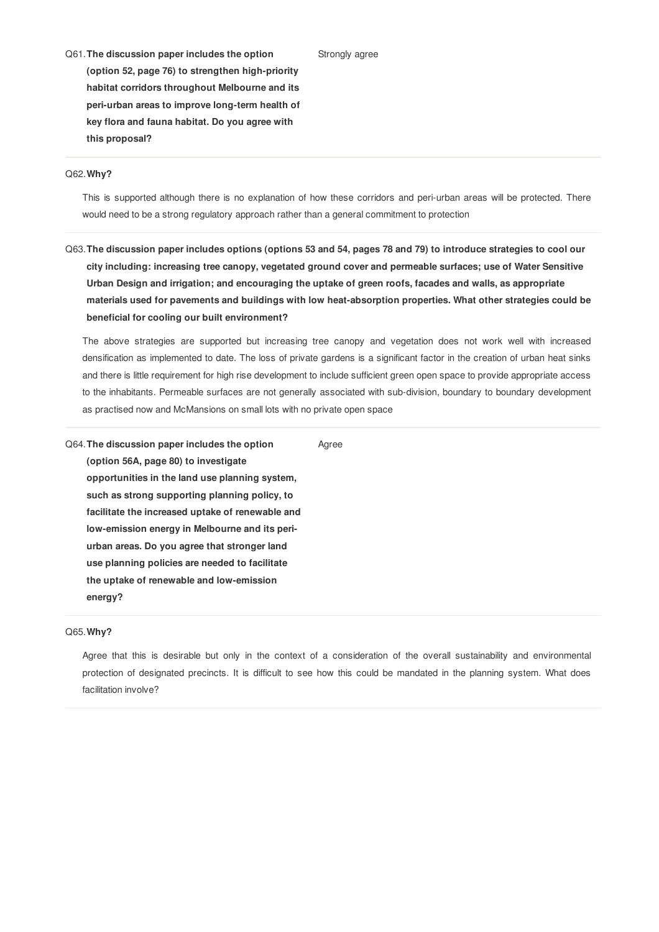Q61.**The discussion paper includes the option (option 52, page 76) to strengthen high-priority habitat corridors throughout Melbourne and its peri-urban areas to improve long-term health of key flora and fauna habitat. Do you agree with this proposal?**

#### Q62.**Why?**

This is supported although there is no explanation of how these corridors and peri-urban areas will be protected. There would need to be a strong regulatory approach rather than a general commitment to protection

Strongly agree

Q63. The discussion paper includes options (options 53 and 54, pages 78 and 79) to introduce strategies to cool our **city including: increasing tree canopy, vegetated ground cover and permeable surfaces; use of Water Sensitive Urban Design and irrigation; and encouraging the uptake of green roofs, facades and walls, as appropriate materials used for pavements and buildings with low heat-absorption properties. What other strategies could be beneficial for cooling our built environment?**

The above strategies are supported but increasing tree canopy and vegetation does not work well with increased densification as implemented to date. The loss of private gardens is a significant factor in the creation of urban heat sinks and there is little requirement for high rise development to include sufficient green open space to provide appropriate access to the inhabitants. Permeable surfaces are not generally associated with sub-division, boundary to boundary development as practised now and McMansions on small lots with no private open space

Q64.**The discussion paper includes the option (option 56A, page 80) to investigate opportunities in the land use planning system, such as strong supporting planning policy, to facilitate the increased uptake of renewable and low-emission energy in Melbourne and its periurban areas. Do you agree that stronger land use planning policies are needed to facilitate the uptake of renewable and low-emission energy?** Agree

# Q65.**Why?**

Agree that this is desirable but only in the context of a consideration of the overall sustainability and environmental protection of designated precincts. It is difficult to see how this could be mandated in the planning system. What does facilitation involve?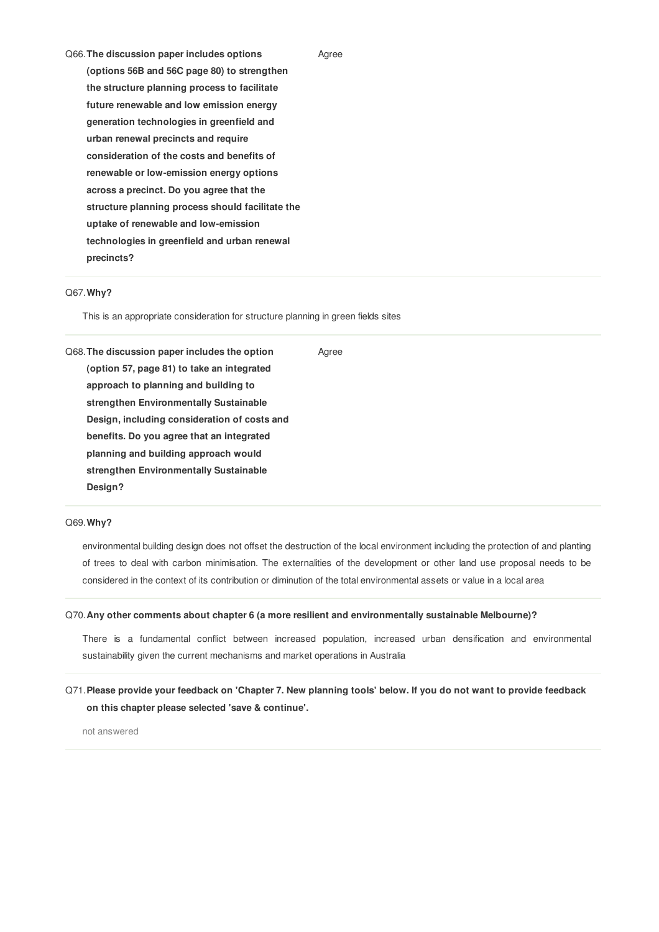| Q66. The discussion paper includes options       |  |
|--------------------------------------------------|--|
| (options 56B and 56C page 80) to strengthen      |  |
| the structure planning process to facilitate     |  |
| future renewable and low emission energy         |  |
| generation technologies in greenfield and        |  |
| urban renewal precincts and require              |  |
| consideration of the costs and benefits of       |  |
| renewable or low-emission energy options         |  |
| across a precinct. Do you agree that the         |  |
| structure planning process should facilitate the |  |
| uptake of renewable and low-emission             |  |
| technologies in greenfield and urban renewal     |  |
| precincts?                                       |  |
|                                                  |  |

## Q67.**Why?**

This is an appropriate consideration for structure planning in green fields sites

Q68.**The discussion paper includes the option (option 57, page 81) to take an integrated approach to planning and building to strengthen Environmentally Sustainable Design, including consideration of costs and benefits. Do you agree that an integrated planning and building approach would strengthen Environmentally Sustainable Design?**

### Q69.**Why?**

environmental building design does not offset the destruction of the local environment including the protection of and planting of trees to deal with carbon minimisation. The externalities of the development or other land use proposal needs to be considered in the context of its contribution or diminution of the total environmental assets or value in a local area

Agree

Agree

### Q70.**Any other comments about chapter 6 (a more resilient and environmentally sustainable Melbourne)?**

There is a fundamental conflict between increased population, increased urban densification and environmental sustainability given the current mechanisms and market operations in Australia

# Q71. Please provide your feedback on 'Chapter 7. New planning tools' below. If you do not want to provide feedback **on this chapter please selected 'save & continue'.**

not answered